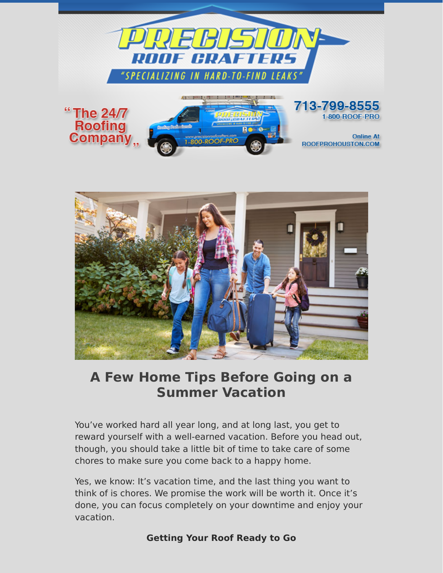



# **A Few Home Tips Before Going on a Summer Vacation**

You've worked hard all year long, and at long last, you get to reward yourself with a well-earned vacation. Before you head out, though, you should take a little bit of time to take care of some chores to make sure you come back to a happy home.

Yes, we know: It's vacation time, and the last thing you want to think of is chores. We promise the work will be worth it. Once it's done, you can focus completely on your downtime and enjoy your vacation.

### **Getting Your Roof Ready to Go**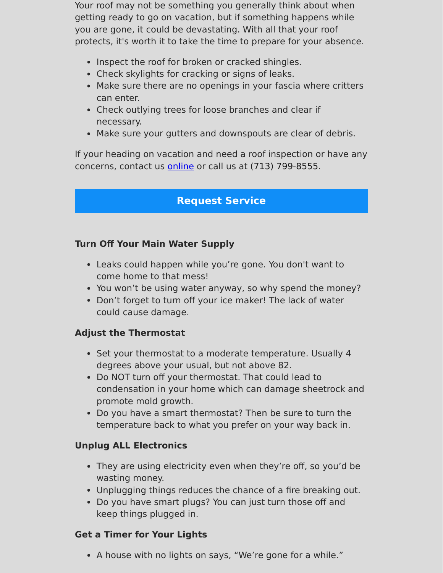Your roof may not be something you generally think about when getting ready to go on vacation, but if something happens while you are gone, it could be devastating. With all that your roof protects, it's worth it to take the time to prepare for your absence.

- Inspect the roof for broken or cracked shingles.
- Check skylights for cracking or signs of leaks.
- Make sure there are no openings in your fascia where critters can enter.
- Check outlying trees for loose branches and clear if necessary.
- Make sure your gutters and downspouts are clear of debris.

If your heading on vacation and need a roof inspection or have any concerns, contact us **[online](https://www.precisionroofcrafters.com/contact-us.php)** or call us at [\(713\) 799-8555.](tel:+17137998555)

# **[Request Service](https://www.precisionroofcrafters.com/contact-us.php)**

## **Turn Off Your Main Water Supply**

- Leaks could happen while you're gone. You don't want to come home to that mess!
- You won't be using water anyway, so why spend the money?
- Don't forget to turn off your ice maker! The lack of water could cause damage.

# **Adjust the Thermostat**

- Set your thermostat to a moderate temperature. Usually 4 degrees above your usual, but not above 82.
- Do NOT turn off your thermostat. That could lead to condensation in your home which can damage sheetrock and promote mold growth.
- Do you have a smart thermostat? Then be sure to turn the temperature back to what you prefer on your way back in.

# **Unplug ALL Electronics**

- They are using electricity even when they're off, so you'd be wasting money.
- Unplugging things reduces the chance of a fire breaking out.
- Do you have smart plugs? You can just turn those off and keep things plugged in.

# **Get a Timer for Your Lights**

A house with no lights on says, "We're gone for a while."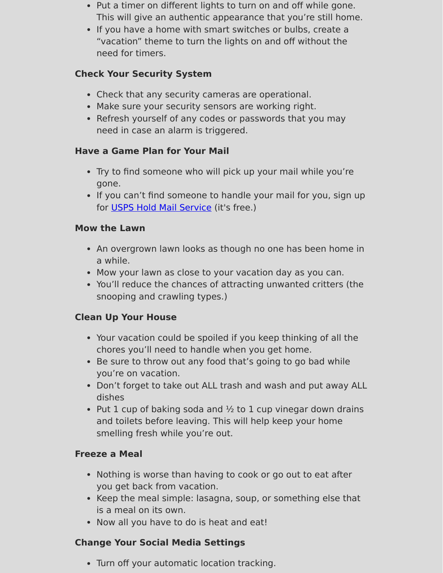- Put a timer on different lights to turn on and off while gone. This will give an authentic appearance that you're still home.
- If you have a home with smart switches or bulbs, create a "vacation" theme to turn the lights on and off without the need for timers.

# **Check Your Security System**

- Check that any security cameras are operational.
- Make sure your security sensors are working right.
- Refresh yourself of any codes or passwords that you may need in case an alarm is triggered.

# **Have a Game Plan for Your Mail**

- Try to find someone who will pick up your mail while you're gone.
- If you can't find someone to handle your mail for you, sign up for [USPS Hold Mail Service](https://holdmail.usps.com/holdmail/) (it's free.)

### **Mow the Lawn**

- An overgrown lawn looks as though no one has been home in a while.
- Mow your lawn as close to your vacation day as you can.
- You'll reduce the chances of attracting unwanted critters (the snooping and crawling types.)

# **Clean Up Your House**

- Your vacation could be spoiled if you keep thinking of all the chores you'll need to handle when you get home.
- Be sure to throw out any food that's going to go bad while you're on vacation.
- Don't forget to take out ALL trash and wash and put away ALL dishes
- Put 1 cup of baking soda and  $\frac{1}{2}$  to 1 cup vinegar down drains and toilets before leaving. This will help keep your home smelling fresh while you're out.

# **Freeze a Meal**

- Nothing is worse than having to cook or go out to eat after you get back from vacation.
- Keep the meal simple: lasagna, soup, or something else that is a meal on its own.
- Now all you have to do is heat and eat!

# **Change Your Social Media Settings**

Turn off your automatic location tracking.